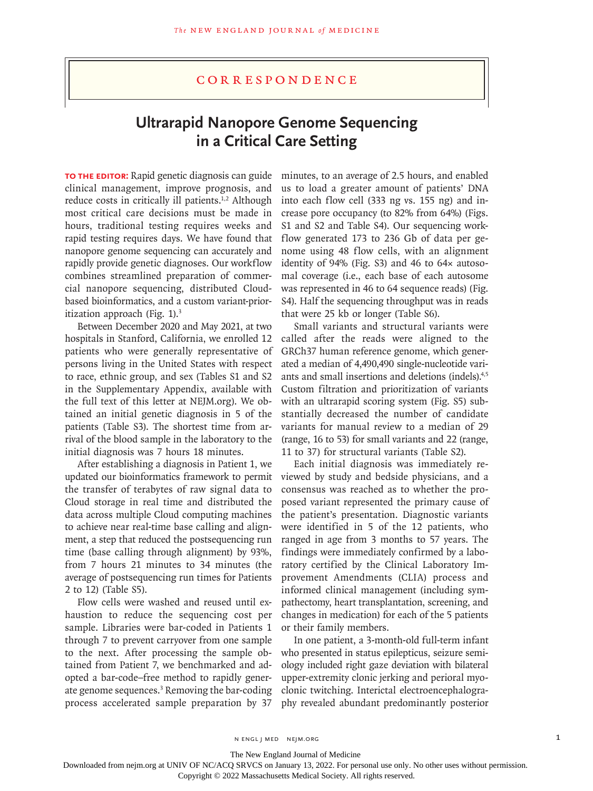## Correspondence

# **Ultrarapid Nanopore Genome Sequencing in a Critical Care Setting**

**TO THE EDITOR:** Rapid genetic diagnosis can guide clinical management, improve prognosis, and reduce costs in critically ill patients.<sup>1,2</sup> Although most critical care decisions must be made in hours, traditional testing requires weeks and rapid testing requires days. We have found that nanopore genome sequencing can accurately and rapidly provide genetic diagnoses. Our workflow combines streamlined preparation of commercial nanopore sequencing, distributed Cloudbased bioinformatics, and a custom variant-prioritization approach (Fig. 1).<sup>3</sup>

Between December 2020 and May 2021, at two hospitals in Stanford, California, we enrolled 12 patients who were generally representative of persons living in the United States with respect to race, ethnic group, and sex (Tables S1 and S2 in the Supplementary Appendix, available with the full text of this letter at NEJM.org). We obtained an initial genetic diagnosis in 5 of the patients (Table S3). The shortest time from arrival of the blood sample in the laboratory to the initial diagnosis was 7 hours 18 minutes.

After establishing a diagnosis in Patient 1, we updated our bioinformatics framework to permit the transfer of terabytes of raw signal data to Cloud storage in real time and distributed the data across multiple Cloud computing machines to achieve near real-time base calling and alignment, a step that reduced the postsequencing run time (base calling through alignment) by 93%, from 7 hours 21 minutes to 34 minutes (the average of postsequencing run times for Patients 2 to 12) (Table S5).

Flow cells were washed and reused until exhaustion to reduce the sequencing cost per sample. Libraries were bar-coded in Patients 1 through 7 to prevent carryover from one sample to the next. After processing the sample obtained from Patient 7, we benchmarked and adopted a bar-code–free method to rapidly generate genome sequences.<sup>3</sup> Removing the bar-coding process accelerated sample preparation by 37

minutes, to an average of 2.5 hours, and enabled us to load a greater amount of patients' DNA into each flow cell (333 ng vs. 155 ng) and increase pore occupancy (to 82% from 64%) (Figs. S1 and S2 and Table S4). Our sequencing workflow generated 173 to 236 Gb of data per genome using 48 flow cells, with an alignment identity of 94% (Fig. S3) and 46 to 64× autosomal coverage (i.e., each base of each autosome was represented in 46 to 64 sequence reads) (Fig. S4). Half the sequencing throughput was in reads that were 25 kb or longer (Table S6).

Small variants and structural variants were called after the reads were aligned to the GRCh37 human reference genome, which generated a median of 4,490,490 single-nucleotide variants and small insertions and deletions (indels).4,5 Custom filtration and prioritization of variants with an ultrarapid scoring system (Fig. S5) substantially decreased the number of candidate variants for manual review to a median of 29 (range, 16 to 53) for small variants and 22 (range, 11 to 37) for structural variants (Table S2).

Each initial diagnosis was immediately reviewed by study and bedside physicians, and a consensus was reached as to whether the proposed variant represented the primary cause of the patient's presentation. Diagnostic variants were identified in 5 of the 12 patients, who ranged in age from 3 months to 57 years. The findings were immediately confirmed by a laboratory certified by the Clinical Laboratory Improvement Amendments (CLIA) process and informed clinical management (including sympathectomy, heart transplantation, screening, and changes in medication) for each of the 5 patients or their family members.

In one patient, a 3-month-old full-term infant who presented in status epilepticus, seizure semiology included right gaze deviation with bilateral upper-extremity clonic jerking and perioral myoclonic twitching. Interictal electroencephalography revealed abundant predominantly posterior

N ENGL J MED NEJM.ORG 1

The New England Journal of Medicine

Downloaded from nejm.org at UNIV OF NC/ACQ SRVCS on January 13, 2022. For personal use only. No other uses without permission.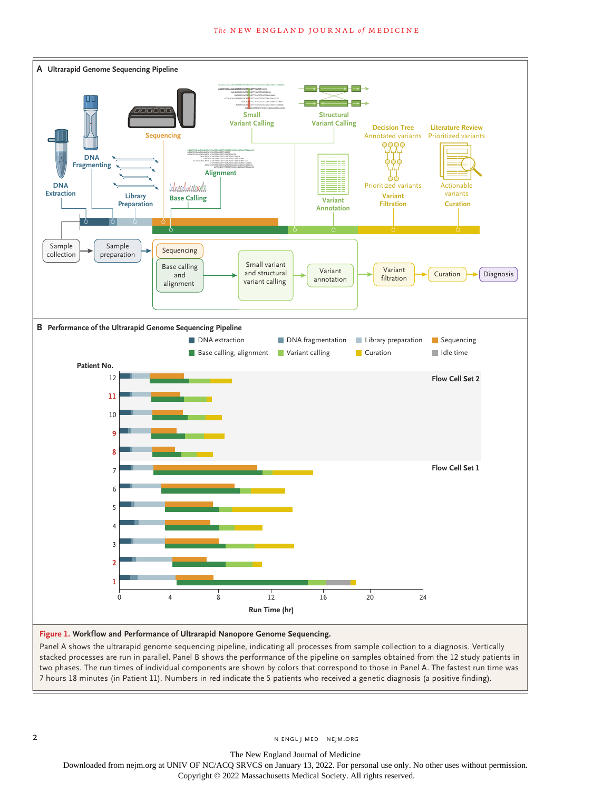

### **Figure 1. Workflow and Performance of Ultrarapid Nanopore Genome Sequencing.**

Panel A shows the ultrarapid genome sequencing pipeline, indicating all processes from sample collection to a diagnosis. Vertically stacked processes are run in parallel. Panel B shows the performance of the pipeline on samples obtained from the 12 study patients in two phases. The run times of individual components are shown by colors that correspond to those in Panel A. The fastest run time was 7 hours 18 minutes (in Patient 11). Numbers in red indicate the 5 patients who received a genetic diagnosis (a positive finding).

The New England Journal of Medicine

Downloaded from nejm.org at UNIV OF NC/ACQ SRVCS on January 13, 2022. For personal use only. No other uses without permission.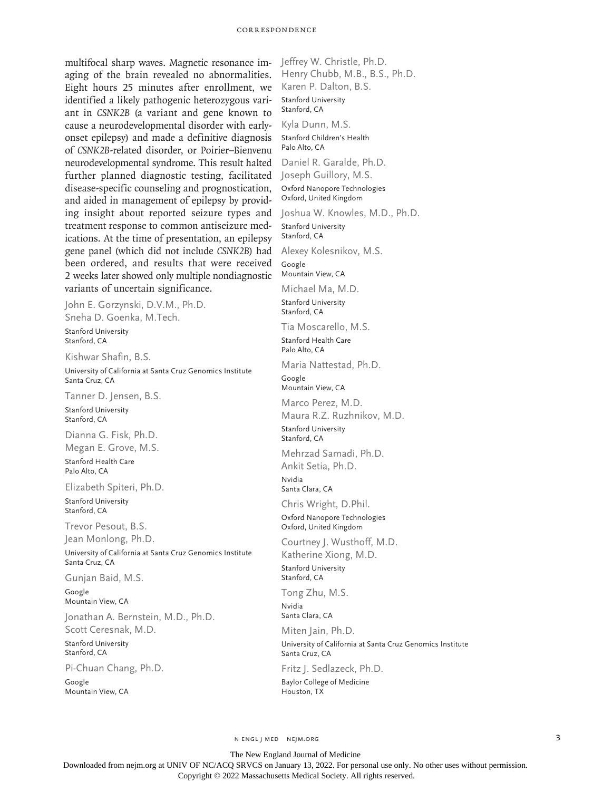#### Correspondence

multifocal sharp waves. Magnetic resonance imaging of the brain revealed no abnormalities. Eight hours 25 minutes after enrollment, we identified a likely pathogenic heterozygous variant in *CSNK2B* (a variant and gene known to cause a neurodevelopmental disorder with earlyonset epilepsy) and made a definitive diagnosis of *CSNK2B*-related disorder, or Poirier–Bienvenu neurodevelopmental syndrome. This result halted further planned diagnostic testing, facilitated disease-specific counseling and prognostication, and aided in management of epilepsy by providing insight about reported seizure types and treatment response to common antiseizure medications. At the time of presentation, an epilepsy gene panel (which did not include *CSNK2B*) had been ordered, and results that were received 2 weeks later showed only multiple nondiagnostic variants of uncertain significance.

John E. Gorzynski, D.V.M., Ph.D. Sneha D. Goenka, M.Tech.

Stanford University Stanford, CA

Kishwar Shafin, B.S.

University of California at Santa Cruz Genomics Institute Santa Cruz, CA

Tanner D. Jensen, B.S.

Stanford University Stanford, CA

Dianna G. Fisk, Ph.D. Megan E. Grove, M.S.

Stanford Health Care Palo Alto, CA

Elizabeth Spiteri, Ph.D.

Stanford University Stanford, CA

Trevor Pesout, B.S. Jean Monlong, Ph.D.

University of California at Santa Cruz Genomics Institute Santa Cruz, CA

Gunjan Baid, M.S.

Google Mountain View, CA

Jonathan A. Bernstein, M.D., Ph.D. Scott Ceresnak, M.D.

Stanford University Stanford, CA

Pi‑Chuan Chang, Ph.D.

Google Mountain View, CA Jeffrey W. Christle, Ph.D. Henry Chubb, M.B., B.S., Ph.D. Karen P. Dalton, B.S. Stanford University Stanford, CA Kyla Dunn, M.S. Stanford Children's Health Palo Alto, CA Daniel R. Garalde, Ph.D. Joseph Guillory, M.S. Oxford Nanopore Technologies Oxford, United Kingdom Joshua W. Knowles, M.D., Ph.D. Stanford University Stanford, CA Alexey Kolesnikov, M.S. Google Mountain View, CA Michael Ma, M.D. Stanford University Stanford, CA Tia Moscarello, M.S. Stanford Health Care Palo Alto, CA Maria Nattestad, Ph.D. Google Mountain View, CA Marco Perez, M.D. Maura R.Z. Ruzhnikov, M.D. Stanford University Stanford, CA Mehrzad Samadi, Ph.D. Ankit Setia, Ph.D. Nvidia Santa Clara, CA Chris Wright, D.Phil. Oxford Nanopore Technologies Oxford, United Kingdom Courtney J. Wusthoff, M.D. Katherine Xiong, M.D. Stanford University Stanford, CA Tong Zhu, M.S. Nvidia Santa Clara, CA Miten Jain, Ph.D. University of California at Santa Cruz Genomics Institute Santa Cruz, CA Fritz J. Sedlazeck, Ph.D.

Baylor College of Medicine Houston, TX

n engl j med nejm.org 3

The New England Journal of Medicine

Downloaded from nejm.org at UNIV OF NC/ACQ SRVCS on January 13, 2022. For personal use only. No other uses without permission.